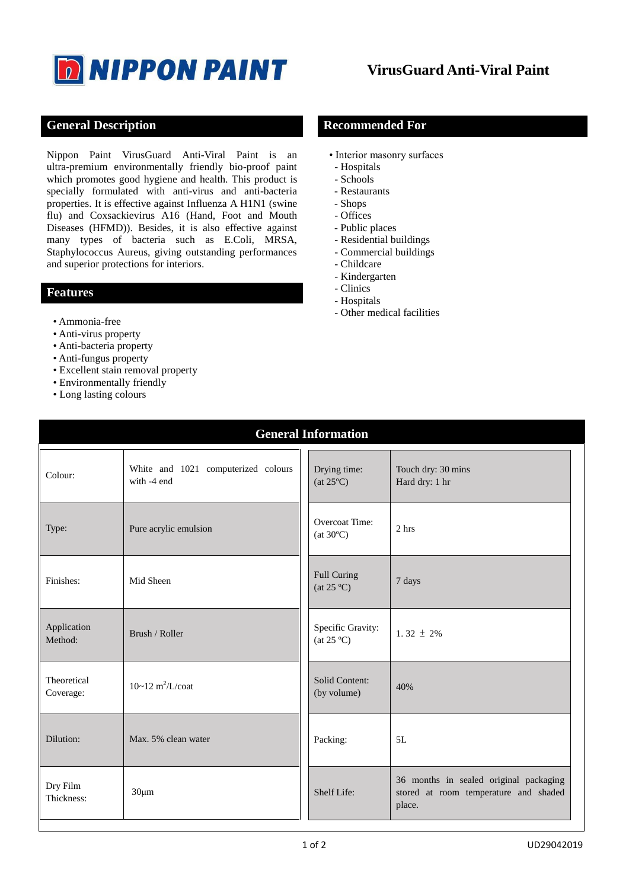

## **General Description Recommended For**

Nippon Paint VirusGuard Anti-Viral Paint is an ultra-premium environmentally friendly bio-proof paint which promotes good hygiene and health. This product is specially formulated with anti-virus and anti-bacteria properties. It is effective against Influenza A H1N1 (swine flu) and Coxsackievirus A16 (Hand, Foot and Mouth Diseases (HFMD)). Besides, it is also effective against many types of bacteria such as E.Coli, MRSA, Staphylococcus Aureus, giving outstanding performances and superior protections for interiors.

### **Features**

- Ammonia-free
- Anti-virus property
- Anti-bacteria property
- Anti-fungus property
- Excellent stain removal property
- Environmentally friendly
- Long lasting colours

- Interior masonry surfaces
- Hospitals
- Schools
- Restaurants
- Shops
- Offices
- Public places
- Residential buildings
- Commercial buildings
- Childcare
- Kindergarten
- Clinics
- Hospitals
- Other medical facilities

| <b>General Information</b> |                                                    |                                                   |                                                                                           |  |
|----------------------------|----------------------------------------------------|---------------------------------------------------|-------------------------------------------------------------------------------------------|--|
| Colour:                    | White and 1021 computerized colours<br>with -4 end | Drying time:<br>$(at 25^{\circ}C)$                | Touch dry: 30 mins<br>Hard dry: 1 hr                                                      |  |
| Type:                      | Pure acrylic emulsion                              | Overcoat Time:<br>(at $30^{\circ}$ C)             | 2 <sub>hrs</sub>                                                                          |  |
| Finishes:                  | Mid Sheen                                          | <b>Full Curing</b><br>$(at 25^\circ\text{C})$     | 7 days                                                                                    |  |
| Application<br>Method:     | Brush / Roller                                     | Specific Gravity:<br>(at $25 \text{ }^{\circ}C$ ) | 1.32 $\pm$ 2%                                                                             |  |
| Theoretical<br>Coverage:   | $10~12 \text{ m}^2$ /L/coat                        | Solid Content:<br>(by volume)                     | 40%                                                                                       |  |
| Dilution:                  | Max. 5% clean water                                | Packing:                                          | 5L                                                                                        |  |
| Dry Film<br>Thickness:     | $30 \mu m$                                         | Shelf Life:                                       | 36 months in sealed original packaging<br>stored at room temperature and shaded<br>place. |  |